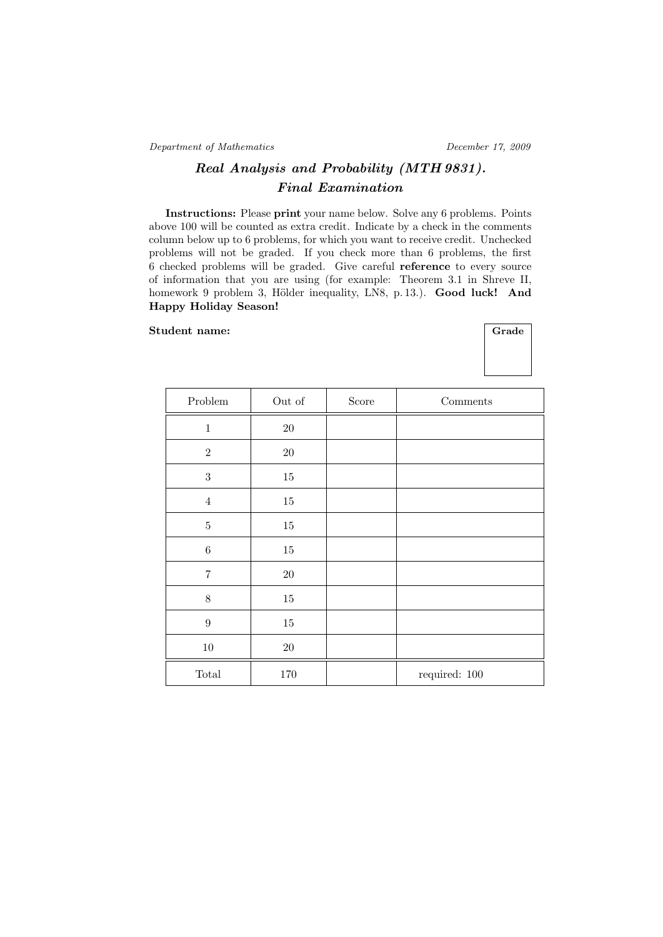Department of Mathematics December 17, 2009

## Real Analysis and Probability (MTH 9831). Final Examination

Instructions: Please print your name below. Solve any 6 problems. Points above 100 will be counted as extra credit. Indicate by a check in the comments column below up to 6 problems, for which you want to receive credit. Unchecked problems will not be graded. If you check more than 6 problems, the first 6 checked problems will be graded. Give careful reference to every source of information that you are using (for example: Theorem 3.1 in Shreve II, homework 9 problem 3, Hölder inequality, LN8, p. 13.). Good luck! And Happy Holiday Season!

## Student name:

| Grade |
|-------|
|       |

| Problem                         | Out of  | Score | Comments          |
|---------------------------------|---------|-------|-------------------|
| $\mathbf 1$                     | $20\,$  |       |                   |
| $\,2$                           | $20\,$  |       |                   |
| $\sqrt{3}$                      | $15\,$  |       |                   |
| $\bf 4$                         | $15\,$  |       |                   |
| $\bf 5$                         | $15\,$  |       |                   |
| $\,6$                           | $15\,$  |       |                   |
| $\overline{7}$                  | $20\,$  |       |                   |
| $8\,$                           | $15\,$  |       |                   |
| $\boldsymbol{9}$                | $15\,$  |       |                   |
| $10\,$                          | $20\,$  |       |                   |
| $\operatorname{\mathsf{Total}}$ | $170\,$ |       | required: $100\,$ |